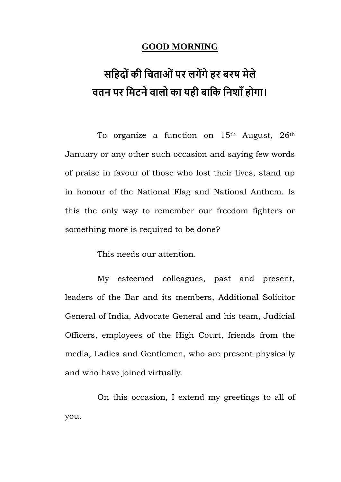## **GOOD MORNING**

## **सहिद ोंकी हिताओोंपर लगेंगेिर बरष मेले वतन पर हमटनेवाल का यिी बाहक हनशााँि गा।**

To organize a function on  $15<sup>th</sup>$  August,  $26<sup>th</sup>$ January or any other such occasion and saying few words of praise in favour of those who lost their lives, stand up in honour of the National Flag and National Anthem. Is this the only way to remember our freedom fighters or something more is required to be done?

This needs our attention.

My esteemed colleagues, past and present, leaders of the Bar and its members, Additional Solicitor General of India, Advocate General and his team, Judicial Officers, employees of the High Court, friends from the media, Ladies and Gentlemen, who are present physically and who have joined virtually.

On this occasion, I extend my greetings to all of you.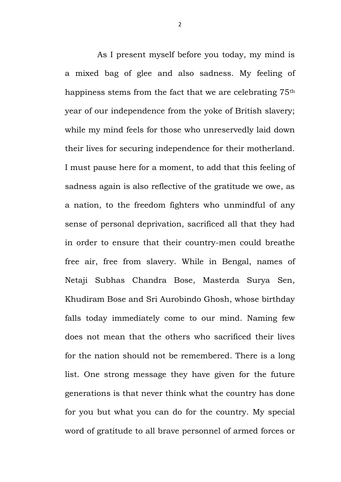As I present myself before you today, my mind is a mixed bag of glee and also sadness. My feeling of happiness stems from the fact that we are celebrating 75<sup>th</sup> year of our independence from the yoke of British slavery; while my mind feels for those who unreservedly laid down their lives for securing independence for their motherland. I must pause here for a moment, to add that this feeling of sadness again is also reflective of the gratitude we owe, as a nation, to the freedom fighters who unmindful of any sense of personal deprivation, sacrificed all that they had in order to ensure that their country-men could breathe free air, free from slavery. While in Bengal, names of Netaji Subhas Chandra Bose, Masterda Surya Sen, Khudiram Bose and Sri Aurobindo Ghosh, whose birthday falls today immediately come to our mind. Naming few does not mean that the others who sacrificed their lives for the nation should not be remembered. There is a long list. One strong message they have given for the future generations is that never think what the country has done for you but what you can do for the country. My special word of gratitude to all brave personnel of armed forces or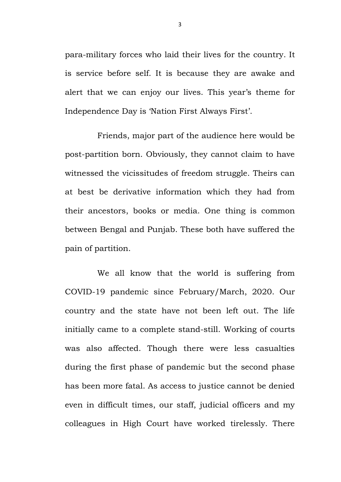para-military forces who laid their lives for the country. It is service before self. It is because they are awake and alert that we can enjoy our lives. This year's theme for Independence Day is 'Nation First Always First'.

Friends, major part of the audience here would be post-partition born. Obviously, they cannot claim to have witnessed the vicissitudes of freedom struggle. Theirs can at best be derivative information which they had from their ancestors, books or media. One thing is common between Bengal and Punjab. These both have suffered the pain of partition.

We all know that the world is suffering from COVID-19 pandemic since February/March, 2020. Our country and the state have not been left out. The life initially came to a complete stand-still. Working of courts was also affected. Though there were less casualties during the first phase of pandemic but the second phase has been more fatal. As access to justice cannot be denied even in difficult times, our staff, judicial officers and my colleagues in High Court have worked tirelessly. There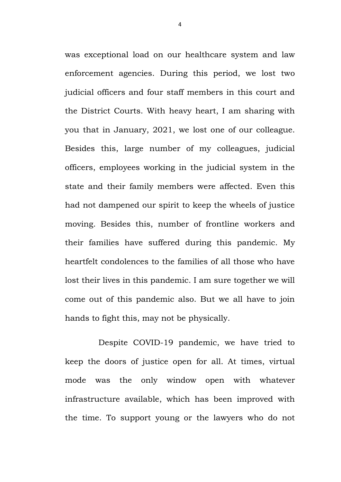was exceptional load on our healthcare system and law enforcement agencies. During this period, we lost two judicial officers and four staff members in this court and the District Courts. With heavy heart, I am sharing with you that in January, 2021, we lost one of our colleague. Besides this, large number of my colleagues, judicial officers, employees working in the judicial system in the state and their family members were affected. Even this had not dampened our spirit to keep the wheels of justice moving. Besides this, number of frontline workers and their families have suffered during this pandemic. My heartfelt condolences to the families of all those who have lost their lives in this pandemic. I am sure together we will come out of this pandemic also. But we all have to join hands to fight this, may not be physically.

Despite COVID-19 pandemic, we have tried to keep the doors of justice open for all. At times, virtual mode was the only window open with whatever infrastructure available, which has been improved with the time. To support young or the lawyers who do not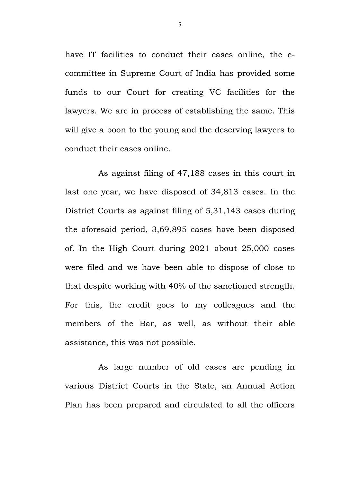have IT facilities to conduct their cases online, the ecommittee in Supreme Court of India has provided some funds to our Court for creating VC facilities for the lawyers. We are in process of establishing the same. This will give a boon to the young and the deserving lawyers to conduct their cases online.

As against filing of 47,188 cases in this court in last one year, we have disposed of 34,813 cases. In the District Courts as against filing of 5,31,143 cases during the aforesaid period, 3,69,895 cases have been disposed of. In the High Court during 2021 about 25,000 cases were filed and we have been able to dispose of close to that despite working with 40% of the sanctioned strength. For this, the credit goes to my colleagues and the members of the Bar, as well, as without their able assistance, this was not possible.

As large number of old cases are pending in various District Courts in the State, an Annual Action Plan has been prepared and circulated to all the officers

5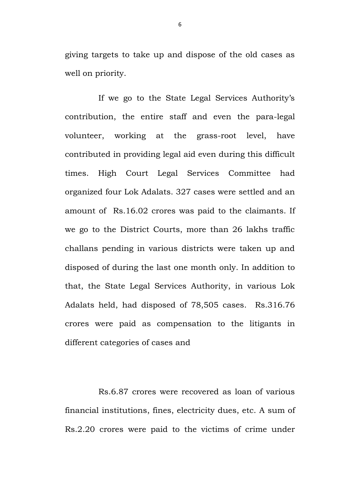giving targets to take up and dispose of the old cases as well on priority.

If we go to the State Legal Services Authority's contribution, the entire staff and even the para-legal volunteer, working at the grass-root level, have contributed in providing legal aid even during this difficult times. High Court Legal Services Committee had organized four Lok Adalats. 327 cases were settled and an amount of Rs.16.02 crores was paid to the claimants. If we go to the District Courts, more than 26 lakhs traffic challans pending in various districts were taken up and disposed of during the last one month only. In addition to that, the State Legal Services Authority, in various Lok Adalats held, had disposed of 78,505 cases. Rs.316.76 crores were paid as compensation to the litigants in different categories of cases and

Rs.6.87 crores were recovered as loan of various financial institutions, fines, electricity dues, etc. A sum of Rs.2.20 crores were paid to the victims of crime under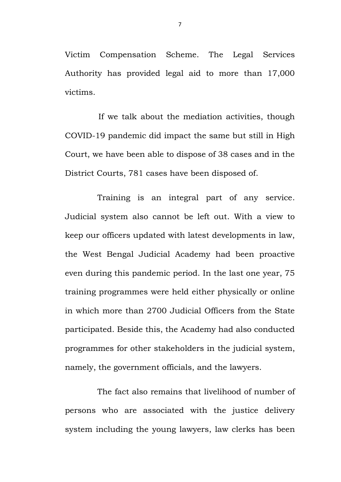Victim Compensation Scheme. The Legal Services Authority has provided legal aid to more than 17,000 victims.

If we talk about the mediation activities, though COVID-19 pandemic did impact the same but still in High Court, we have been able to dispose of 38 cases and in the District Courts, 781 cases have been disposed of.

Training is an integral part of any service. Judicial system also cannot be left out. With a view to keep our officers updated with latest developments in law, the West Bengal Judicial Academy had been proactive even during this pandemic period. In the last one year, 75 training programmes were held either physically or online in which more than 2700 Judicial Officers from the State participated. Beside this, the Academy had also conducted programmes for other stakeholders in the judicial system, namely, the government officials, and the lawyers.

The fact also remains that livelihood of number of persons who are associated with the justice delivery system including the young lawyers, law clerks has been

7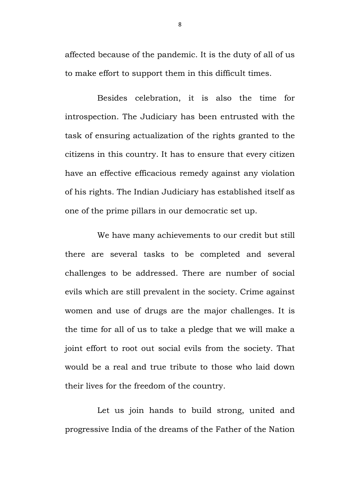affected because of the pandemic. It is the duty of all of us to make effort to support them in this difficult times.

Besides celebration, it is also the time for introspection. The Judiciary has been entrusted with the task of ensuring actualization of the rights granted to the citizens in this country. It has to ensure that every citizen have an effective efficacious remedy against any violation of his rights. The Indian Judiciary has established itself as one of the prime pillars in our democratic set up.

We have many achievements to our credit but still there are several tasks to be completed and several challenges to be addressed. There are number of social evils which are still prevalent in the society. Crime against women and use of drugs are the major challenges. It is the time for all of us to take a pledge that we will make a joint effort to root out social evils from the society. That would be a real and true tribute to those who laid down their lives for the freedom of the country.

Let us join hands to build strong, united and progressive India of the dreams of the Father of the Nation